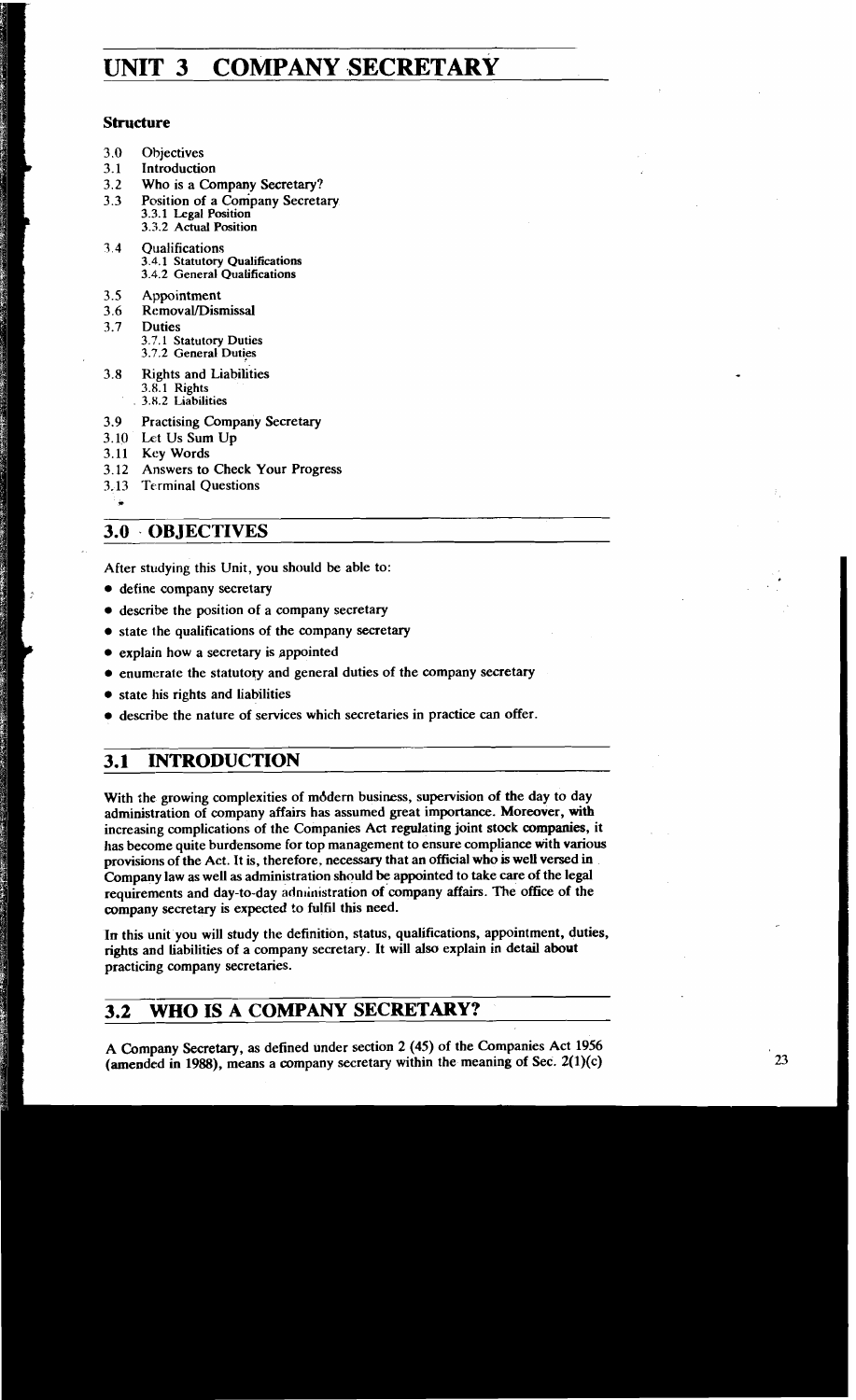# **UNIT 3 COMPANY SECRETARY**

# **Structure**

- 3.0 Objectives
- 3.1 Introduction
- 3.2 Who is a Company Secretary?
- 3.3 Position of a Company Secretary 3.3.1 **Legal Position**  3.3.2 **Actual Position**
- **7** 4 Qualifications 3.4.1 **Statutory Qualifications**  3.4.2 **General Qualifications**
- 3.5 Appointment
- 3.6 Removal/Dismissal
- 3.7 Duties 3.7.1 **Statutory Duties**  3.7.2 **General Duties**
- 3.8 Rights and Liabilities **3.8.1 Rights**  3.8.2 **Liabilities**
- 3.9 Practising Company Secretary
- 3.10 Let Us Sum Up
- 3.11 Key Words
- 3.12 Answers to Check Your Progress
- 3.13 Terminal Questions \*
- 

# **3.0- OBJECTIVES**

After studying this Unit, you should be able to:

- $\bullet$  define company secretary
- describe the position of a company secretary
- state the qualifications of the company secretary
- explain how a secretary is appointed
- $\bullet$  enumerate the statutory and general duties of the company secretary
- state his rights and liabilities
- describe the nature of services which secretaries in practice can offer.

# **3.1 INTRODUCTION**

With the growing complexities of mddern business, supervision of the day to day administration of company affairs has assumed great importance. Moreover, with increasing complications of the Companies **Act** regulating joint stock companies, it has become quite burdensome for top management to ensure compliance with various provisions of the Act. It is, therefore, necessary that an official who is well versed in Company law as well as administration should be appointed to take care of the legal requirements and day-to-day administration of company affairs. The office of the company secretary is expected to fulfil this need.

In this unit you will study the definition, status, qualifications, appointment, duties, rights and liabilities of a company secretary. It will also explain in detail about practicing company secretaries.

# **3.2 WHO IS A COMPANY SECRETARY?**

**A** Company Secretary, as defined under section 2 (45) of the Companies Act 1956 (amended in 1988), means a company secretary within the meaning of Sec.  $2(1)(c)$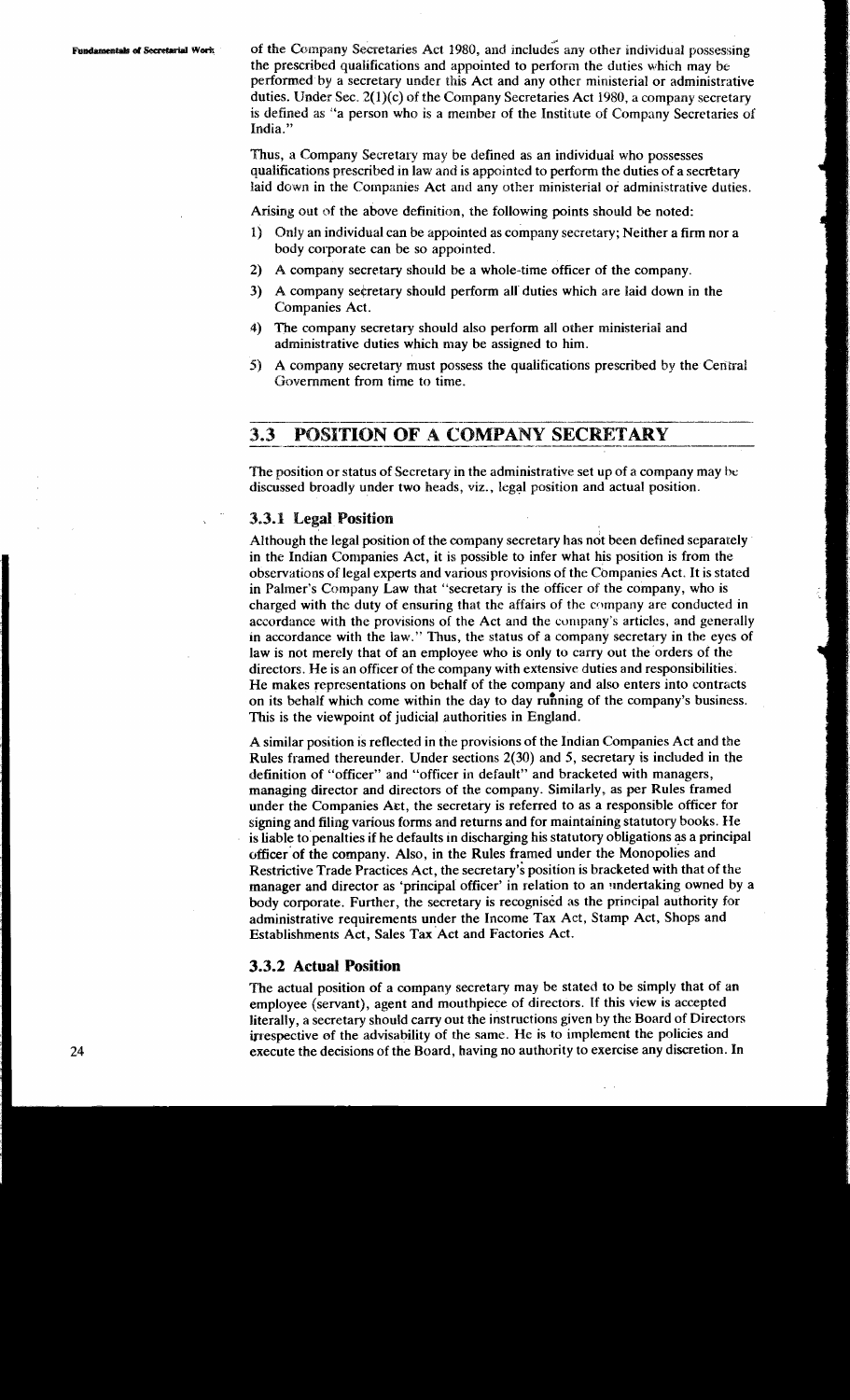**Fundamentals of Secretarial Work** of the Company Secretaries Act 1980, and includes any other individual possessing the prescribed qualifications and appointed to perforin the duties which may be performed by a secretary under this Act and any other ministerial or administrative duties. IJnder Sec. 2(l)(c) of the Company Secretaries Act **1980,** a company secretary is defined as "a person who is a member of the Institute of Company Secretaries of India."

> Thus, a Company Secretary may be defined as an individual who possesses qualifications prescribed In law **anti** is appointed to perform the duties of a secetary Islaid down in the Companies Act and any other ministerial or administrative duties.<br>Arising out of the above definition, the following points should be noted:<br>1) Only an individual can be appointed as company secretary; N

- 1) Only an individual can be appointed as company secretary; Neither a firm nor a body corporate can be so appointed.
- 2) A company secretary should be a whole-time officer of the company.
- 3) A company secretary should perform all duties which are laid down in the Companies Act.
- 4) The company secretary should also perform all other ministerial and administrative duties which may be assigned to him.
- **5)**  Government from time to time. A company secretary must may be assigned to him.<br>possess the qualifications prescribed by the Central ime.

# **3.3 POSITION OF A COMPANY SECRETARY**

The position or status of Secretary in the administrative set up of a company may **lye**  discussed broadly under two heads, viz., legal position and actual position.

## **3.3.1 Legal Position**

Although the legal position of the company secretary has not been defined separately in the Indian Companies Act, it is possible to infer what his position is from the observations of legal experts and various provisions of the Cbmpanies Act. It is stated in Palmer's Company Law that "secretary is the officer of the company, who is charged with the duty of ensuring that the affairs of the company are conducted in accordance with the provisions of the Act and the company's articles, and generally in accordance with the law." Thus, the status of a company secretary in the eyes of law is not merely that of an employee who is only to carry out the orders of the directors. He is an officer of the company with extensive duties and responsibilities. He makes representations on behalf of the company and also enters into contracts on its behalf which come within the day to day running of the company's business. This is the viewpoint of judicial authorities in England.

A similar position is reflected in the provisions of the Indian Companies Act and the Rules framed thereunder. Under sections **2(30)** and 5, secretary is included in the definition of "officer" and "officer in default" and bracketed with managers, managing director and directors of the company. Similarly, as per Rules framed under the Companies Act, the secretary is referred to as a responsible officer for signing and filing various forms and returns and for maintaining statutory books. He is liable to penalties if he defaults in discharging his statutory obligations as a principal officer'of the company. Also, in the Rules framed under the Monopolies and Restrictive Trade Practices Act, the secretary's position is bracketed with that of the manager and director as 'principal officer' in relation to an undertaking owned by a body corporate. Further, the secretary is recognised as the principal authority for administrative requirements under the Income Tax Act, Stamp Act, Shops and Establishments Act, Sales Tax Act and Factories Act.

### **3.3.2 Actual Position**

The actual position of a company secretary may be stated to be simply that of an employee (servant), agent and mouthpiece of directors. If this view is accepted literally, a secretary should carry out the instructions given by the Board of Directors irrespective of the advisability of the same. **He** is to implement the policies and execute the decisions of the Board, having no authority to exercise any discretion. In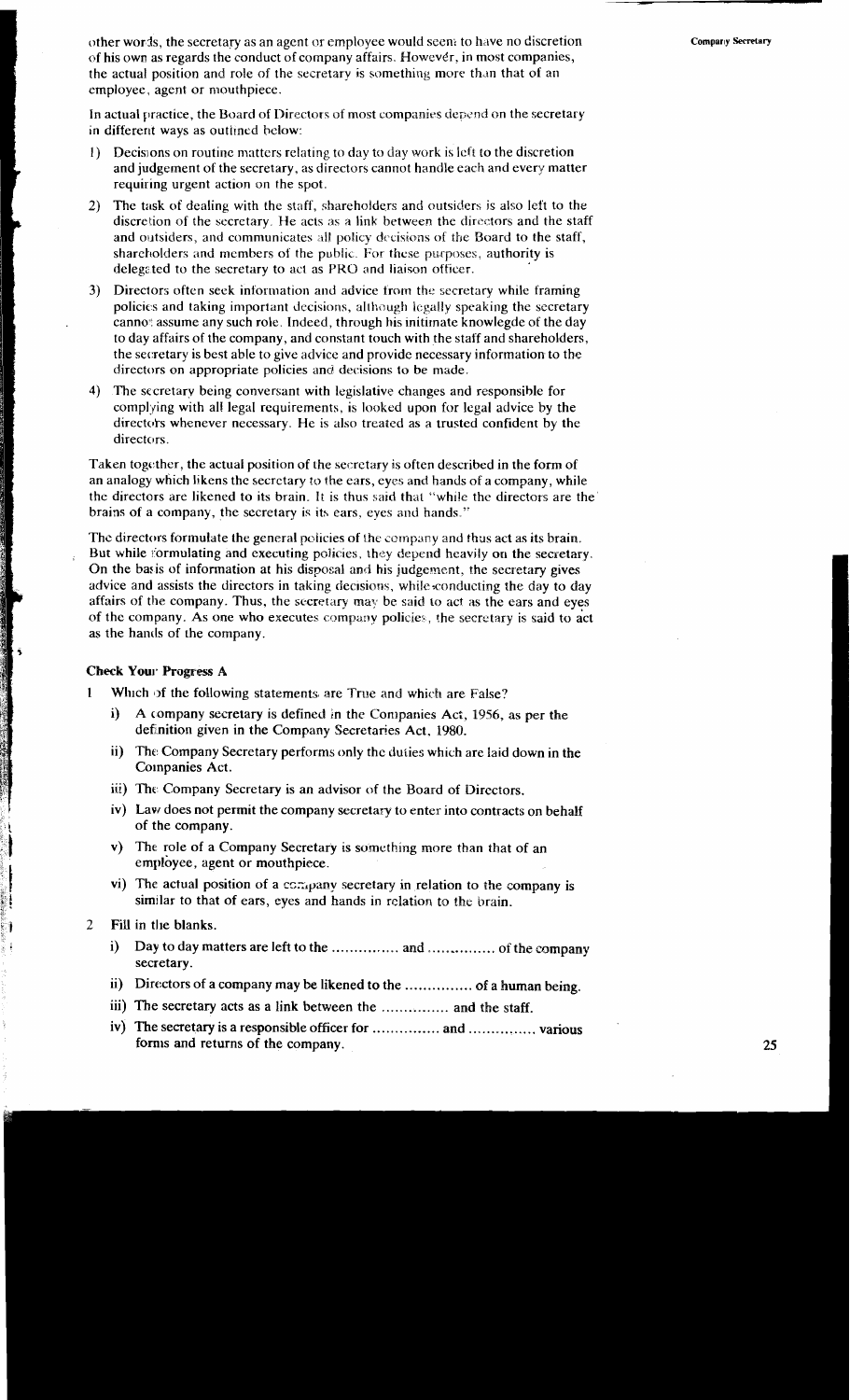other words, the secretary as an agent or employee would seen; to have no discretion **Compary Secretary** of his own as regards the conduct of company affairs. However, in most companies, the actual position and role of the secretary is something more than that of an employee, agent or mouthpiece.

In actual practice, the Board of Directors of most companies depend on the secretary in different ways as outlined below:

- I) Decisions on routine matters relating to day to day work is left to the discretion and judgement of the secretary, as directors cannot handle each and every matter requiring urgent action on the spot.
- 2) The task of dealing with the staff, shareholders and outsiders is also left to the discretion of the secretary. He acts as a link between the directors and the staff and outsiders, and communicates **:ill** policy drcisiisns **of** the Board to the staff, shareholders and members of the public. For these purposes, authority is delegited to the secretary to act as **PKC)** and liaison officer.
- **3)** Directors often seek information and advice frorn the secretary while framing policies and taking important decisions, although legally speaking the secretary cannot assume any such role. Indeed, through his initimate knowlegde of the day to day affairs of the company, and constant touch with the staff and shareholders, the secretary is best able to give advice and provide necessary information to the directors on appropriate policies and decisions to be made.
- 4) The sccretary being conversant with legislative changes and responsible for complying with all legal requirements, is looked upon for legal advice by the directors whenever necessary. He is also treated as a trusted confident by the directors.

Taken together, the actual position of the secretary is often described in the form of an analogy which likens the secretary to the ears, eyes and hands of a company, while the directors are likened to its brain. It is thus said that "while the directors are the" brains of a company, the secretary is its ears, eyes and hands."

The directors formulate the general policies of the company and thus act as its brain. But while formulating and executing policies, they depend heavily on the secretary. On the basis of information at his disposal and his judgement, the secretary gives advice and assists the directors in taking decisions, while conducting the day to day affairs of the company. Thus, the secretary may be said to act as the ears and eyes of the company. As one who executes company policies, the secretary is said to act as the hands of the company.

#### **Check Your Progress A**

- **1 Which of the following statements are True and which are False?** 
	- **i)** A company secretary is defined in the Companies Act, 1956, as per the definition given in the Company Secretaries Act, 1980.
	- ii) The Company Secretary performs only the duties which are laid down in the Companies Act.
	- iii) The Company Secretary is an advisor of the Board of Directors.
	- iv) Eavr does not permit the company secretary to enter into contracts on behalf of the company.
	- v) The role of a Company Secretary is something more than that of an employee, agent or mouthpiece.
	- vi) The actual position of a company secretary in relation to the company is similar to that of ears, eyes and hands in relation to the brain.
- 2 Fill in the blanks.
	- i) Day to day matters are left to the ............... and ............... of the company secretary.
	- ii) Directors of a company may be likened to the ............... of a human being.
	- iii) The secretary acts as a link between the ............... and the staff.
	- iv) The secretary is a responsible officer for ............... and ............... various forms and returns of the company.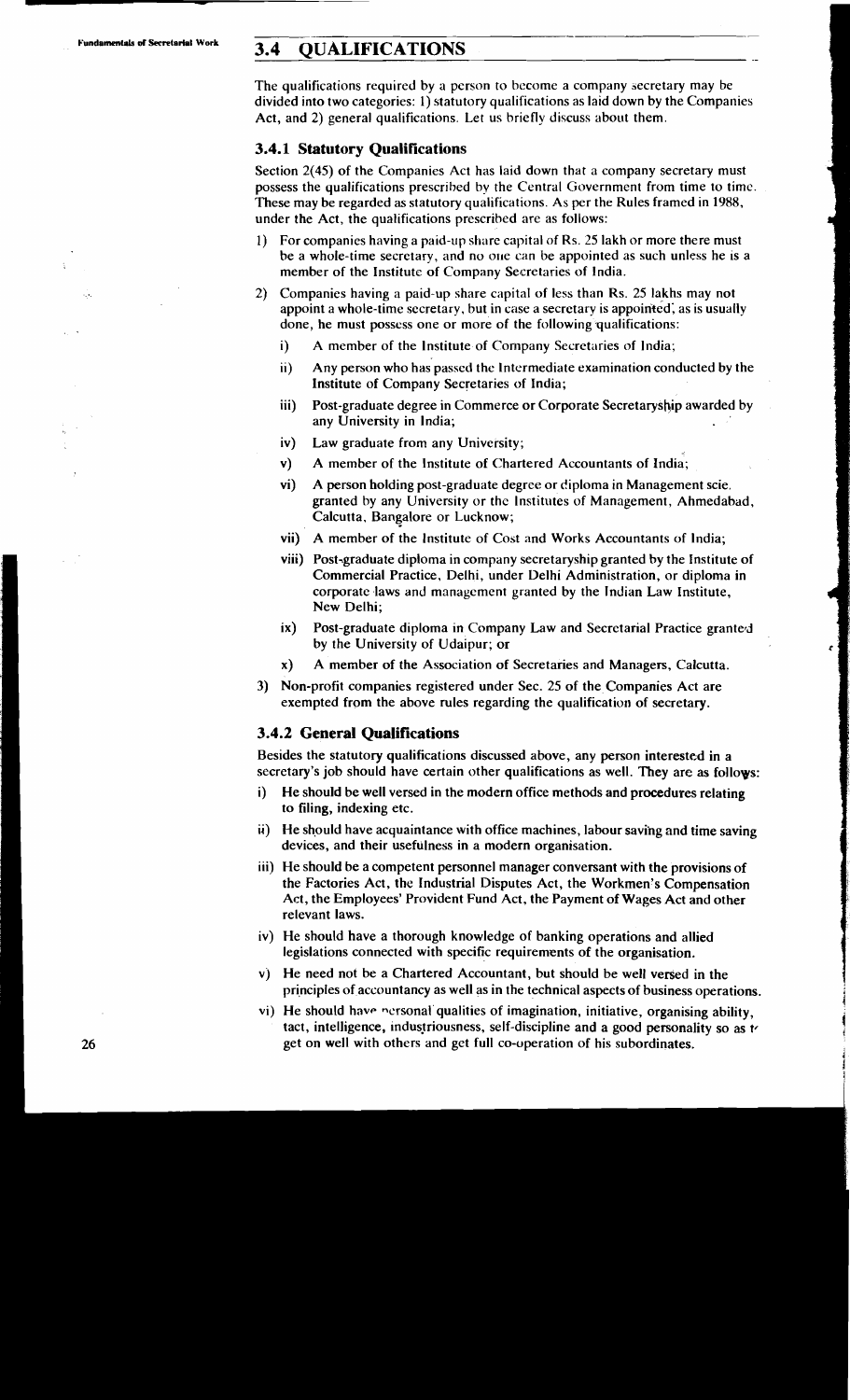# **Fundamentals of Secretarial Work 3.4 QUALIFICATIONS**

The qualifications required by a person to become a company secretary may be divided into two categories: 1) statutory qualifications as laid down by the Companies Act, and 2) general qualifications. Let us briefly discuss about them.

- . -

# **3.4.1 Statutory Qualifications**

Section 2(45) of the Companies Act has laid down that a company secretary must possess the qualifications prescribed by the Central Government from time to time. These may be regarded as statutory qualifications. **As** per the Rules framed in 1988, under the Act, the qualifications prescribed are as follows:

- 1) For companies having a paid-up share capital of Rs. 25 lakh or more there must be a whole-time secrctary, and no oue can be appointed as such unless he is a member of the Institute of Company Secretaries of India.
- 2) Companies having a paid-up share capital of less than Rs. 25 lakhs may not appoint a whole-time secretary, but in case a secrctary is appointed; as is usually done, he must posscss one or more of the following qualifications:
	- i) A member of the lnstitute of Cornpany Secretaries of India;
	- ii) Any person who has passed thc Intermediate examination conducted by the Institute of Company Secretaries of India;
	- iii) Post-graduate degree in Commerce or Corporate Secretaryship awarded by any University in India;
	- iv) Law graduate from any University;
	- v) A member of the lnstitute of Chartered Accountants of India;
	- vi) A person holding post-graduate degree or diploma in Management scie. granted by any University or thc Institutes of Management, Ahmedabad, Calcutta, Bangalore or Lucknow;
	- vii) A member of the Institute of Cost and Works Accountants of India;
	- viii) Post-graduate diploma in company secretaryship granted by the Institute of Commercial Practice, Delhi, under Delhi Administration, or diploma in corporate laws and management granted by the Indian Law Institute, New Delhi;
	- ix) Post-graduate diploma in Company Law and Secretarial Practice granted by the University of Udaipur; or
	- x) A member of the Association of Secretaries and Managers, Calcutta.
- 3) Non-profit companies registered under Sec. 25 of the Companies Act are exempted from the above rules regarding the qualification of secretary.

### **3.4.2 General Qualifications**

Besides the statutory qualifications discussed above, any person interested in a secretary's job should have certain other qualifications as well. They are as follovs:

- i) He should be well versed in the modern office methods and procedures relating to filing, indexing etc.
- ii) He shpuld have acquaintance with office machines, labour saving and time saving devices, and their usefulness in a modern organisation.
- iii) He should be a competent personnel manager conversant with the provisions of the Factories Act, the Industrial Disputes Act, the Workmen's Compensation Act, the Employees' Provident Fund Act, the Payment of Wages Act and other relevant laws.
- iv) He should have a thorough knowledge of banking operations and allied legislations connected with specific requirements of the organisation.
- **v)** He need not be a Chartered Accountant, but should be well versed in the principles of accountancy as well as in the technical aspects of business operations.
- vi) He should have personal qualities of imagination, initiative, organising ability, tact, intelligence, industriousness, self-discipline and a good personality so as to get on well with others and get full co-operation of his subordinates.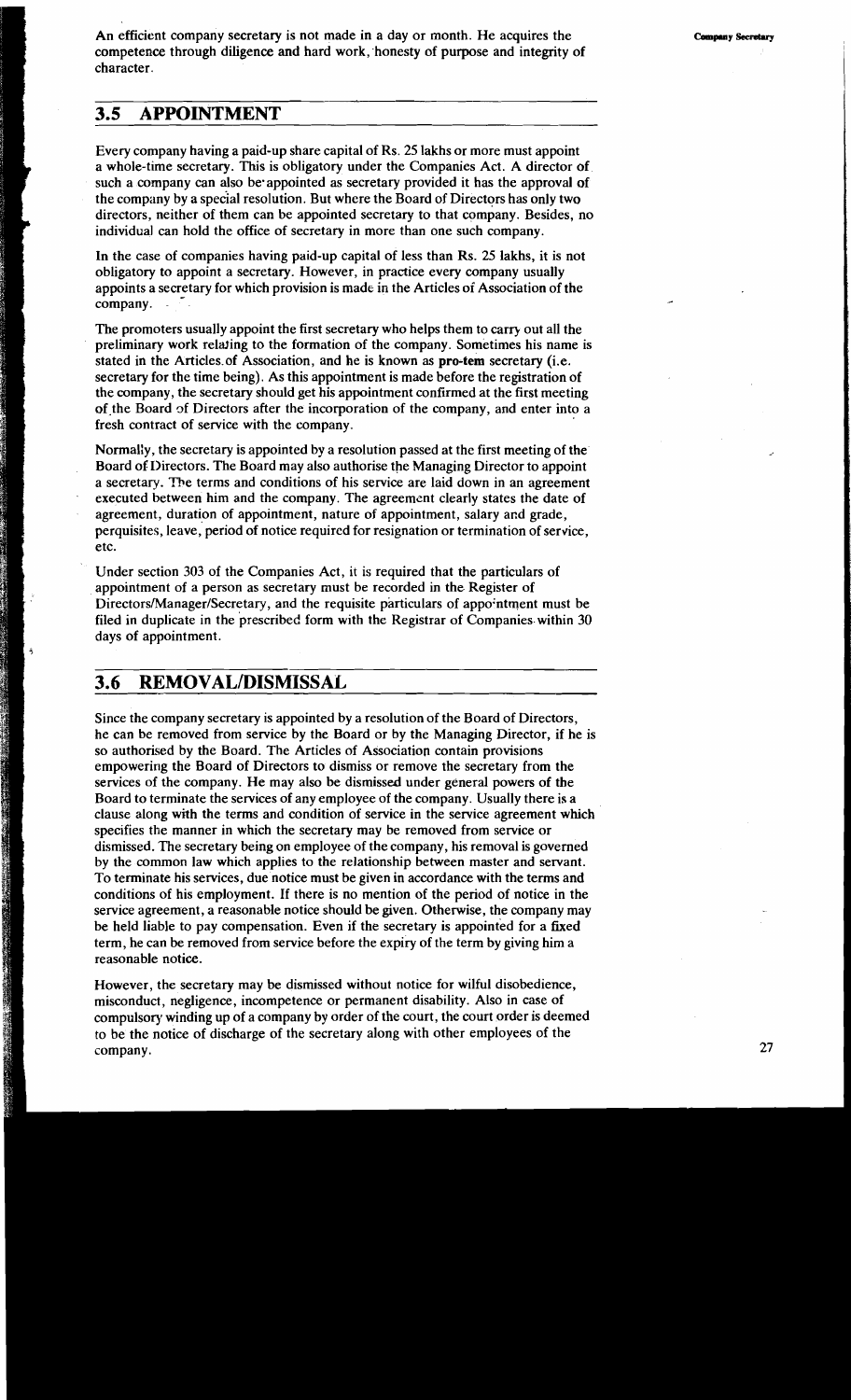An efficient company secretary is not made in a day or month. He acquires the competence through diligence and hard work, honesty of purpose and integrity of character.

# **3.5 APPOINTMENT**

Every company having a paid-up share capital of Rs. *25* lakhs or more must appoint a whole-time secretary. This is obligatory under the Companies Act. A director of such a company can also be appointed as secretary provided it has the approval of the company by a special resolution. But where the Board of Directors has only two directors, neither of them can be appointed secretary to that company. Besides, no individual can hold the office of secretary in more than one such company.

In the case of companies having paid-up capital of less than Rs. 25 lakhs, it is not obligatory to appoint a secretary. However, in practice every company usually appoints a secretary for which provision is made in the Articles of Association of the company.

The promoters usually appoint the first secretary who helps them to carry out all the preliminary work relating to the formation of the company. Sometimes his name is stated in the Articles of Association, and he is known as pro-tem secretary (i.e. secretary for the time being). As this appointment is made before the registration of the company, the secretary should get his appointment confirmed at the first meeting of the Board of Directors after the incorporation of the company, and enter into a fresh contract of service with the company.

Normal:y, the secretary is appointed by a resolution passed at the first meeting of the Board of 1)irectors. The Board may also authorise the Managing Director to appoint a secretary. me terms and conditions of his service are laid down in an agreement executed between him and the company. The agreemznt clearly states the date of agreement, duration of appointment, nature of appointment, salary and grade, perquisites, leave, period of notice required for resignation or termination of service, etc.

Under section 303 of the Companies Act, it is required that the particulars of appointment of a person as secretary must be recorded in the Register of **Directors/Manager/Secretary,** and the requisite particulars of appo:ntment must be filed in duplicate in the prescribed form with the Registrar of Companies within 30 days of appointment.

# **3.6 REMOVALIDISMISSAL**

Since the company secretary is appointed by a resolution of the Board of Directors, he can be removed from service by the Board or by the Managing Director, if he is so authorised by the Board. The Articles of Association contain provisions empowering the Board of Directors to dismiss or remove the secretary from the services of the company. He may also be dismissed under general powers of the Board to terminate the services of any employee of the company. Usually there is a clause along with the terms and condition of service in the service agreement which specifies the manner in which the secretary may be removed from service or dismissed. The secretary being on employee of the company, his removal is governed by the common law which applies to the relationship between master and servant. To terminate his services, due notice must be given in accordance with the terms and conditions of his employment. If there is no mention of the period of notice in the service agreement, a reasonable notice should be given. Otherwise, the company may be held liable to pay compensation. Even if the secretary is appointed for a fixed term, he can be removed from service before the expiry of the term by giving him a reasonable notice.

However, the secretary may be dismissed without notice for wilful disobedience, misconduct, negligence, incompetence or permanent disability. Also in case of compulsory winding up of a company by order of the court, the court order is deemed to be the notice of discharge of the secretary along with other employees of the company.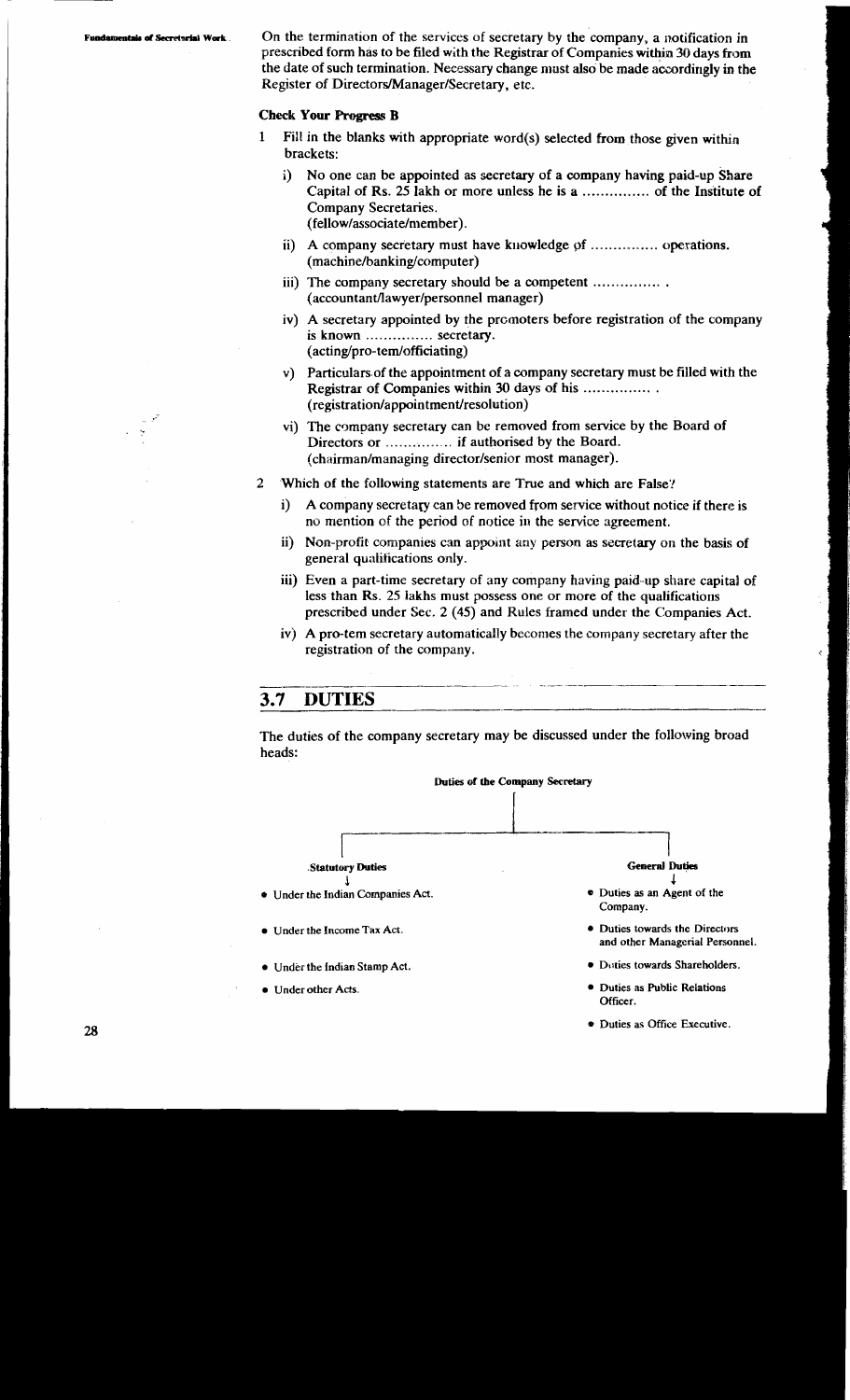$\mathcal{A}$ 

*damentals of Secretarial Work*. On the termination of the services of secretary by the company, a notification in prescribed form has to be filed with the Registrar of Companies within 30 days from the date of such termination. Necessary change must also be made accordingly in the Register of **DirectorsIManagerlSecretary,** etc.

#### **Check Your Progress B**

- **1** Fill in the blanks with appropriate word(s) selected from those given within brackets:
	- i) No one can be appointed as secretary of a company having paid-up Share Capital of Rs. 25 lakh or more unless he is a ............... of the Institute of Company Secretaries. (fellow/associate/member).
	- ii) A company secretary must have knowledge of ................. operations. **(machine/banking/computer)**
	- iii) The company secretary should be a competent ................. **(accountant/lawyer/personnel** manager)
	- iv) A secretary appointed by the prcmoters before registration of the company is known ............... secretary. **(acting/pro-ternlofficiating)**
	- v) Particulars.of the appointment of a company secretary must be filled with the Registrar of Companies within 30 days of his .................. **(registration/appointment/resolution)**
	- vi) The company secretary can be removed from service by the Board of Directors or .............. if authorised by the Board. (chairman/managing director/senior most manager).
- **2** .Which of the following statements are True and which are False:'
	- i) A company secretary can be removed from service without notice if there is no mention **of** the period of notice in the service agreement.
	- ii) Non-profit companies can appoint any person as secretary on the basis of general qualifications only.
	- iii) Even a part-time secretary of any company having paid-up share capital of less than Rs. 25 lakhs must possess one or more of the qualifications prescribed under Sec. 2 (45) and Rules framed under the Companies Act.
	- iv) A pro-tem secretary automatically becomes the company secretary after the registration of the company. FINE

# **3.7 DUTIES**

The duties of the company secretary may be discussed under the following broad heads:



**Duties as** Office **Executive.**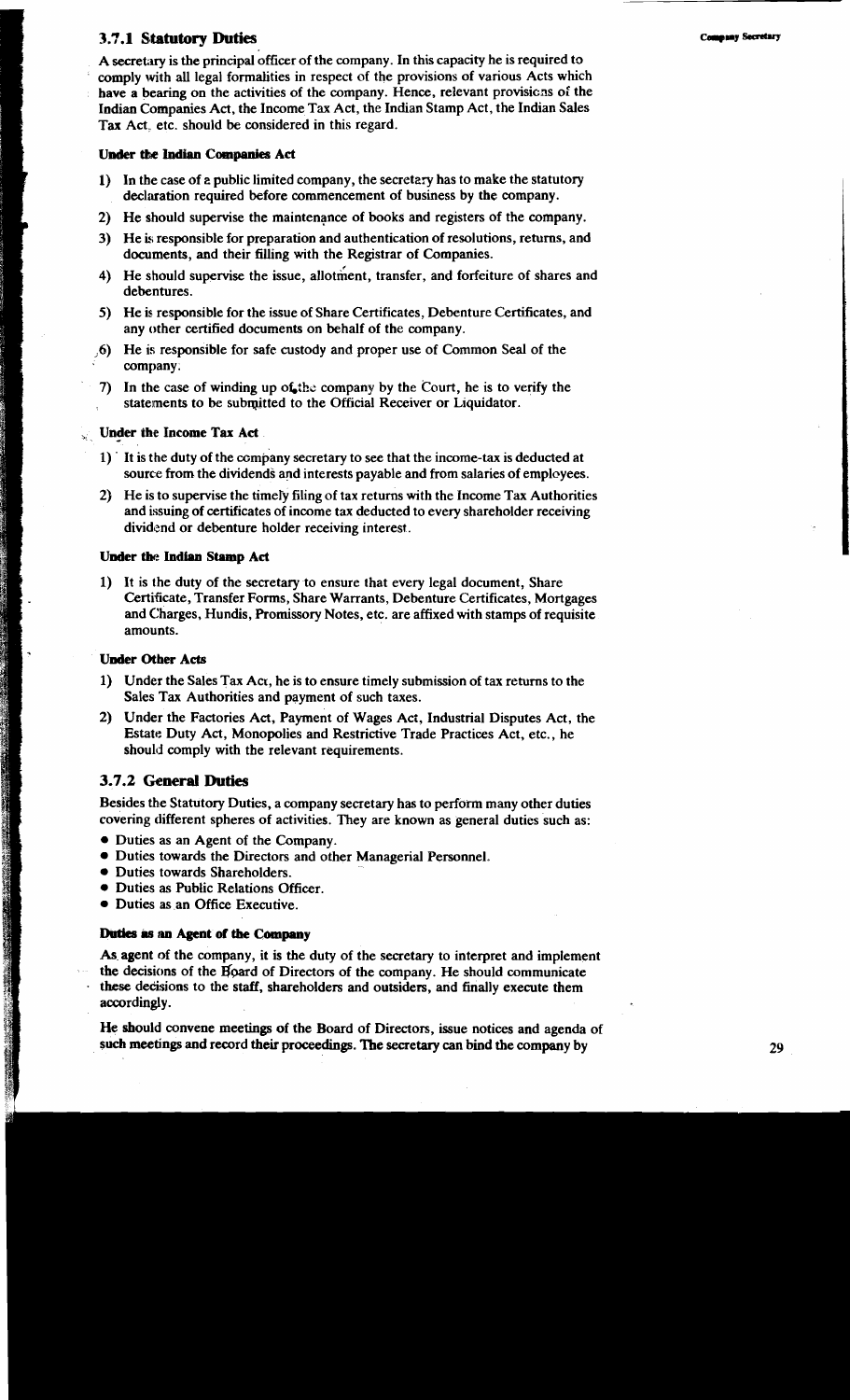## **3.7.1 Statutory Duties**

A secretary is the principal officer of the company. In this capacity he is required to comply with all legal formalities in respect of the provisions of various Acts which have a bearing on the activities of the company. Hence, relevant provisions of the Indian Companies Act, the Income Tax Act, the Indian Stamp Act, the Indian Sales **Tax** Act, etc. should be considered in this regard.

#### **Under the Indian Companies Act**

- 1) In the case of **2** public limited company, the secretary has to make the statutory declaration required before commencement of business by the company.
- 2) He should supervise the maintenance of books and registers of the company.
- 3) He **k** responsible for preparation and authentication of resolutions, returns, and documents, and their filling with the Registrar of Companies.
- 4) He should supervise the issue, allotment, transfer, and forfeiture of shares and debentures.
- 5) He is responsible for the issue of Share Certificates, Debenture Certificates, and any other certified documents on behalf of the company.
- **;Q)** He is responsible for safe custody and proper use of Common Seal of the company.
- 7) In the case of winding up of the company by the Court, he is to verify the statements to be subqitted to the Official Receiver or Liquidator.

#### **Under the Income Tax Act**

- $1$ ) It is the duty of the company secretary to see that the income-tax is deducted at source from the dividends and interests payable and from salaries of employees.
- 2) He is to supervise the timefy filing of tax returns with the Income Tax Authorities and issuing of certificates of income tax deducted to every shareholder receiving dividend or debenture holder receiving interest..

#### **Under the Indian Stamp Act**

1) It is the duty of the secretary to ensure that every legal document, Share Certificate, Transfer Forms, Share Warrants, Debenture Certificates, Mortgages and Charges, Hundis, Promissory Notes, etc. are affixed with stamps of requisite amounts.

#### **Under Other Acts**

- 1) Under the Sales Tax Act, he is to ensure timely submission of tax returns to the Sales Tax Authorities and payment of such taxes.
- 2) Under the Factories Act, Payment of Wages Act, Industrial Disputes Act, the Estate Duty Act, Monopolies and Restrictive Trade Practices Act, etc., he should comply with the relevant requirements.

# 3.7.2 General Duties

Besides the Statutory Duties, a company secretary has to perform many other duties covering different spheres of activities. They are known as general duties such as:

- Duties as an Agent of the Company.
- Duties towards the Directors and other Managerial Personnel.
- Duties towards Shareholders.
- Duties as Public Relations Officer.
- Duties **as** an Office Executive.

# **Duties is an Agent of the Company**

As agent of the company, it is the duty of the secretary to interpret and implement the decisions of the **Ifpard** of Directors of the company. He should communicate these dedisions to the staff, shareholders and outsiders, and finally execute them accordingly.

He should convene meetings of the Board of Directors, issue notices and agenda of such meetings and record their proceedings. The secretary can bind the company by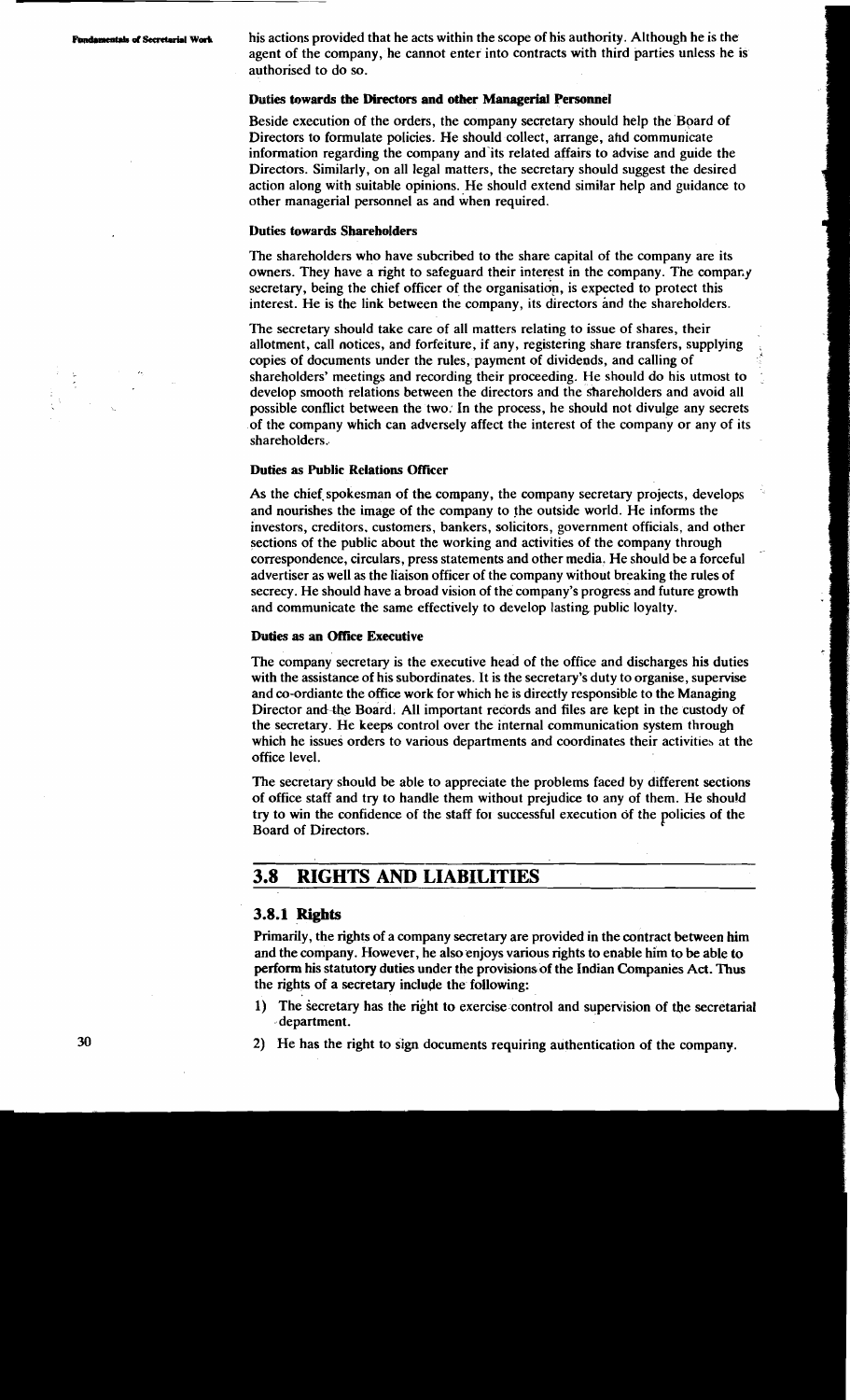**mentals of Secretarial Work** his actions provided that he acts within the scope of his authority. Although he is the agent of the company, he cannot enter into contracts with third parties unless he is authorised to do so.

#### Duties **towards** the Directors and otkr Managerial Personnel

Beside execution of the orders, the company secretary should help the Board of Directors to formulate policies. He should collect, arrange, ahd communicate information regarding the company and'its related affairs to advise and guide the Directors. Similarly, on all legal matters, the secretary should suggest the desired action along with suitable opinions. He should extend similar help and guidance to other managerial personnel as and when required.

#### Duties towards Shareholders

The shareholders who have subcribed to the share capital of the company are its owners. They have a right to safeguard their interest in the company. The company secretary, being the chief officer of the organisation, is expected to protect this interest. He is the link between the company, its directors and the shareholders.

The secretary should take care of all matters relating to issue of shares, their allotment, call notices, and forfeiture, if any, registering share transfers, supplying , copies of documents under the rules, payment of dividends, and calling of shareholders' meetings and recording their proceeding. He should do his utmost to develop smooth relations between the directors and the shareholders and avoid all possible conflict between the two: In the process, he should not divulge any secrets of the company which can adversely affect the interest of the company or any of its shareholders.

#### Duties as Public Relations Oficer

As the chief spokesman of the company, the company secretary projects, develops and nourishes the image of the company to the outside world. He informs the investors, creditors. customers, bankers, solicitors, government officials, and other sections of the public about the working and activities of the company through correspondence, circulars, press statements and other media. He should be a forceful advertiser as well as the liaison officer of the company without breaking the rules of secrecy. He should have a broad vision of the company's progress and future growth and communicate the same effectively to develop lasting public loyalty.

#### Duties as an Office Executive

The company secretary is the executive head of the office and discharges his duties with the assistance of his subordinates. It is the secretary's duty to organise, supervise and co-ordiante the office work for which he is directly responsible to the Managing Director and-the Board. All important records and files are kept in the custody of the secretary. He keeps control over the internal communication system through which he issues orders to various departments and coordinates their activities at the office level.

The secretary should be able to appreciate the problems faced by different sections of office staff and try to handle them without prejudice to any of them. He shou!d try to win the confidence of the staff for successful execution of the policies of the Board of Directors.

# **3.8 RIGHTS AND LIABILITIES**

## **3.8.1 Rights**

Primarily, the rights of a company secretary are provided in the contract between him and the company. However, he also enjoys various rights to enable him to **be** able to perform his statutory duties under the provisions of the Indian Companies Act. Thus the rights of a secretary include the following:

- 1) The secretary has the right to exercise control and supervision of the secretarial department.
- **30** 2) He has the right to sign documents requiring authentication of the company.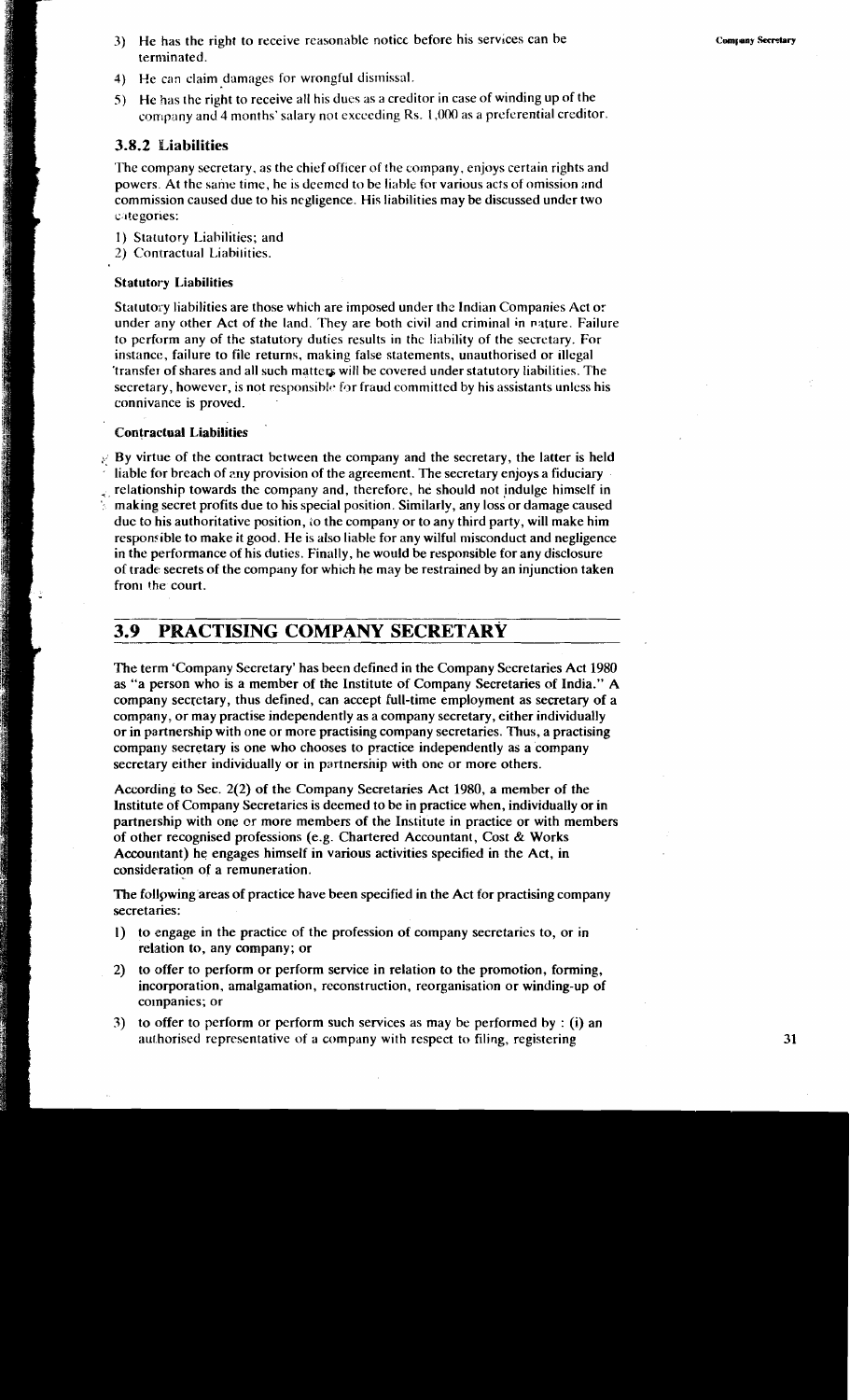- **3)** He has the right to receive reasonable noticc before his servlces can be terminated.
- **4)** He can claim damages for wrongful dismissal.
- **5)** He has the right to receive all his dues as a creditor in case of winding up of the company and 4 months' salary not exceeding Rs.  $1,000$  as a preferential creditor.

## **3.8.2 Liabilities**

The company secretary, as the chief officer of the company, enjoys certain rights and powers. At the same time, he is deemed to be liable for various acts of omission and commission caused due to his negligence. His liabilities may be discussed under two categories:

- 1) Statutory Liabilities; and
- 2) Contractual Liabilities.

### Statutory Liabilities

Statutory liabilities are those which are imposed under the Indian Companies Act or under any other Act of the land. 'They are both civil and criminal in nature. Failure to perform any of the statutory duties results in the liability of the secretary. For instance, failure to file returns, making false statements, unauthorised or illegal transfer of shares and all such matters will be covered under statutory liabilities. The secretary, however, is not responsible for fraud committed by his assistants unless his connivance is proved.

## Contraclual Liabilities

 $\mathcal{E}$  By virtue of the contract between the company and the secretary, the latter is held liable for breach of zny provision of the agreement. The secretary enjoys a fiduciary relationship towards the company and, therefore, he should not indulge himself in making secret profits due to his special position. Similarly, any loss or damage caused due to his authoritative position, LO the company or to any third party, will make him responsible to make it good. He is also liable for any wilful misconduct and negligence in the performance of his duties. Finally, he would be responsible for any disclosure of trade secrets of the company for which he may be restrained by an injunction taken from the court.

# **3.9 PRACTISING COMPANY SECRETARY**

The term Company Secretary' has been defined in the Company Secretaries Act 1980 as "a person who is a member of the Institute of Company Secretaries of India." A company secretary, thus defined, can accept full-time employment as secretary of a company or may practise independenrly as a company secretary, either individually or in partnership with one or more practising company secretaries. Thus, a practising company secretary is one who chooses to practice independently as a company secretary either individually or in partnership with one or more others.

According to Sec. 2(2) of the Company Secretaries Act 1980, a member of the Institute of Company Secretaries is deemed to be in practice when, individually or in partnership with one or more members of the Institute in practice or with members of other recognised professions (e.g. Chartered Accountant, Cost & Works Accountant) he engages himself in various activities specified in the Act, in consideration of a remuneration.

The follpwing areas of practice have been specified in the Act for practising company secretaries:

- I) to engage in the practice of the profession of company secretaries to, or in relation to, any company; or
- 2) to offer to perform or perform service in relation to the promotion, forming, incorporation, amalgamation, reconstruction, reorganisation or winding-up of companies; or
- **3)** to offer to perform or perform such services as may be performed by : **(i)** an authorised representative of a company with respect to filing, registering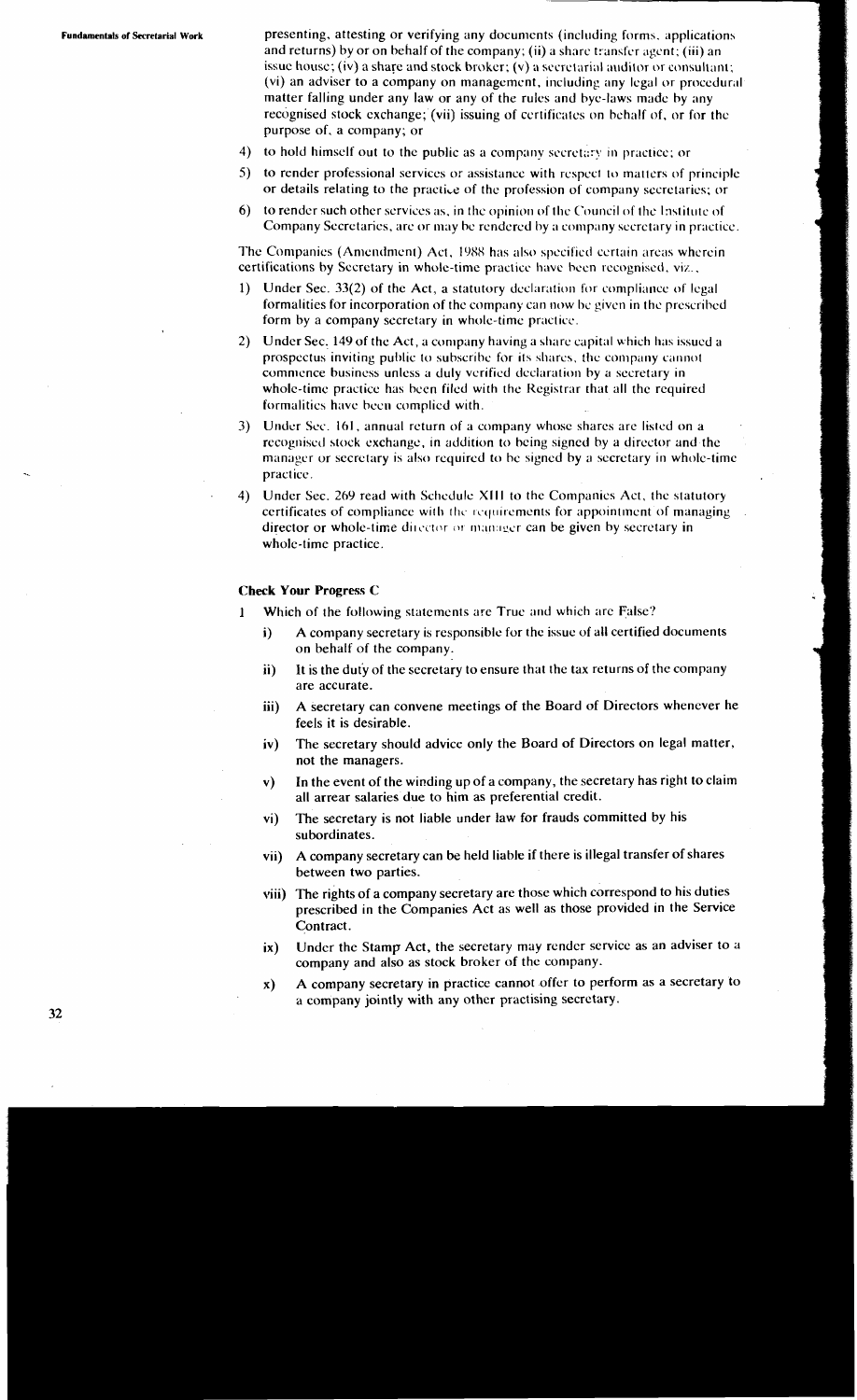Fundamentals **of** Secretarial Work presenting, attesting or verifying any documents (including forms. applications and returns) by or on behalf of the company; (ii) a share transfer agent; (iii) an issue house; (iv) a share and stock broker;  $(v)$  a secretarial auditor or consultant; (vi) an adviser to a company on management, including any legal or procedural matter falling under any law or any of the rules and bye-laws made by any recognised stock exchange; (vii) issuing of certificates on behalf of, or for the purpose of, a company; or

- 4) to hold himself out to the public as a company secretary in practice; or
- 5) to render professional services or assistance with respect to mattcrs of principle or details relating to the practice of the profession of company secretaries; or
- 6) to render such other services as, in the opinion of the Council of the Institute of Company Secretaries, arc or may be rcndcrcd hy a company secretary in practicc.

The Companies (Amendment) Act, 1988 has also specified certain areas wherein certifications by Secretary in whole-time practice have been recognised, viz.,

- Under Sec. 33(2) of the Act, a statutory declaration for compliance of legal formalities for incorporation of the company can now be given in the prescribed form by a company secretary in whole-time practicc.
- 2) Under Sec. 149 of the Act, a company having a share capital which has issued a prospectus inviting public to subscribe for its shares, the company cannot commence business unless a duly verified declaration by a secretary in whole-time practice has been filed with the Registrar that all the required formalities have been complied with.
- 3) Under Sec. 161, annual return of a company whose shares are listed on a recognised stock exchange, in addition to being signed by a director and the manager or secretary is also required to be signed by a secretary in whole-time practicc.
- 4) Under Sec. 269 read with Schedule Xlll to the Companies Act, the statutory certificates of compliance with the requirements for appointment of managing. director or whole-time director or manager can be given by secretary in whole-time practice.

#### **Check Your Progress C**

- **1** Which of the following statements are True and which arc False?
	- i) A company secretary is responsible for the issue of all certified documents on behalf of the company.
	- **ii)** It is the dut'y of the secretary to ensure that the tax returns of the company are accurate.
	- iii) A secretary can convene meetings of the Board of Directors whenever he feels it is desirable.
	- iv) The secretary should advice only the Board of Directors on legal matter, not the managers.
	- v) In the event of the winding up of a company, the secretary has right to claim all arrear salaries due to him as preferential credit.
	- vi) The secretary is not liable under law for frauds committed by his subordinates.
	- vii) A company secretary can be held liable if there is illegal transfer of shares between two parties.
	- viii) The rights of a company secretary are those which correspond to his duties prescribed in the Companies Act as well as those provided in the Service Contract.
	- ix) Under the Stamp Act, the secretary may render service as an adviser to a company and also as stock broker of the company.
	- **x)** A company secretary in practice cannot offer to perform as a secretary to a company jointly with any other practising secretary.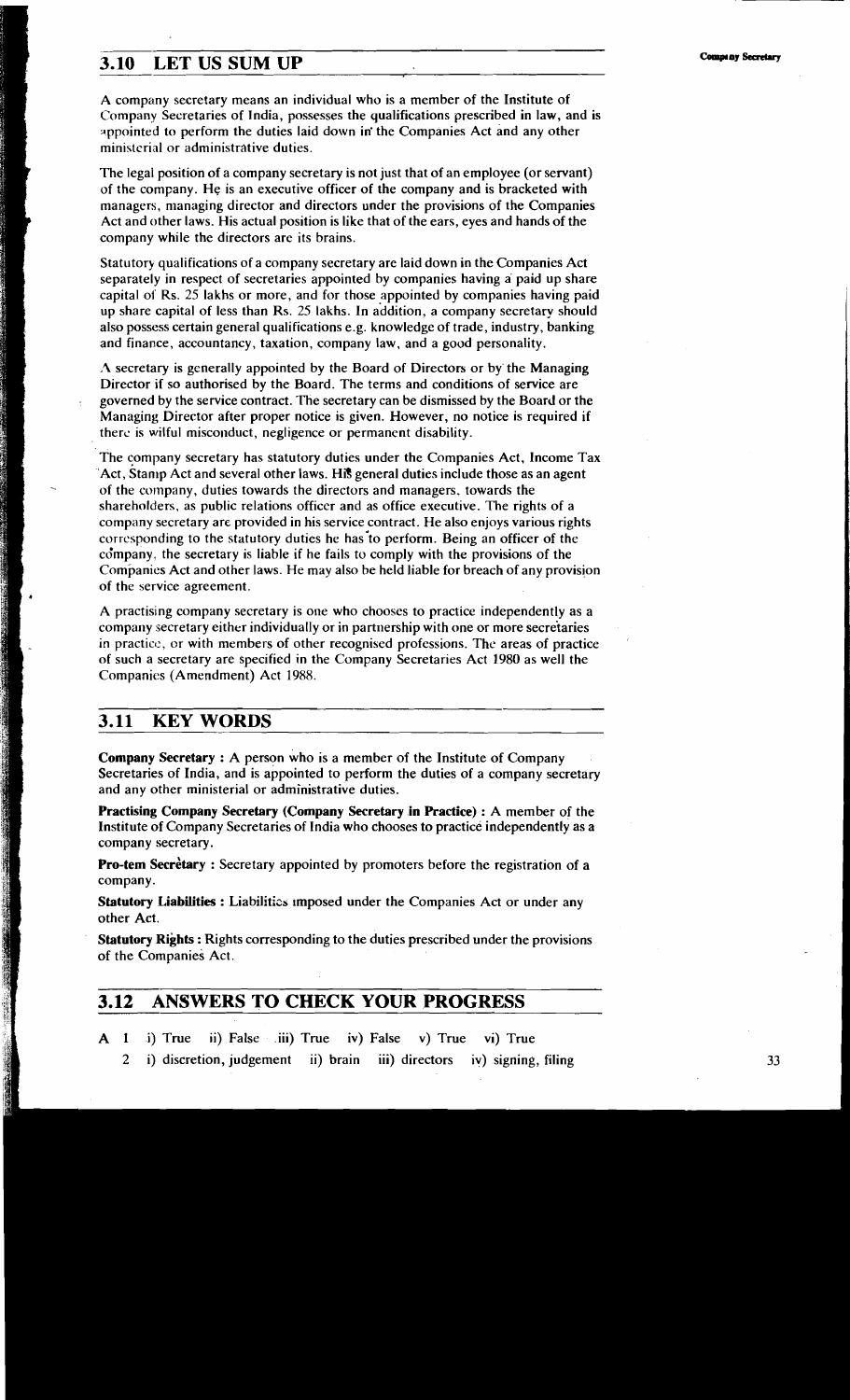# **3.10 LET US SUM UP**

A company secretary means an individual who is a member of the Institute of Company Secretaries of India, possesses the qualifications prescribed in law, and is appointed to perform the duties laid down in the Companies Act and any other ministerial or administrative duties.

The legal position of a company secretary is not just that of an employee (or servant) of the company. He is an executive officer of the company and is bracketed with managers, managing director and directors under the provisions of the Companies Act and other laws. His actual position is like that of the ears, eyes and hands of the company while the directors are its brains.

Statutory qualifications of a company secretary are laid down in the Companies Act separately in respect of secretaries appointed by companies having a paid up share capital of Rs. 25 lakhs or more, and for those appointed by companies having paid up share capital of less than Rs. 25 lakhs. In addition, a company secretary should also possess certain general qualifications e.g. knowledge of trade, industry, banking and finance, accountancy, taxation, company law, and a good personality.

**.2** secretary is generally appointed by the Board of Directors or by'the Managing Director if so authorised by the Board. The terms and conditions of service are governed by the service contract. The secretary can be dismissed by the Board or the Managing Director after proper notice is given. However, no notice is required if therc is wilful misconduct, negligence or permanent disability.

The company secretary has statutory duties under the Companies Act. Income Tax 'Act, Stamp Act and several other laws. **Hi?** general duties include those as an agent of the company, duties towards the directors and managers, towards the shareholders, as public relations officer and as office executive. The rights of a company secretary are provided in his service contract. He also enjoys various rights corresponding to the statutory duties he has-to perform. Being an officer of the company, the secretary is liable if he fails to comply with the provisions of the Companies Act and other laws. He may also be held liable for breach of any provision of the service agreement.

A practising company secretary is one who chooses to practice independently as a company secretary either individually or in partnership with one or more secretaries in practice, or with members of other recognised professions. The areas of practice of such a secretary are specified in the Company Secretaries Act 1980 as well the Companies (Amendment) Act 1988.

# **3.11 KEY WORDS**

**Company Secretary** : A person who is a member of the Institute of Company Secretaries of India, and is appointed to perform the duties of a company secretary and any other ministerial or administrative duties.

**Practising Company Secretary (Company Secretary in Practice) : A member of the** Institute of Company Secretaries of India who chooses to practice independently as a company secretary.

**Pro-tem Secretary** : Secretary appointed by promoters before the registration of a company.

**Statutory Liabilities : Liabilitics imposed under the Companies Act or under any** other Act.

**Statutory Rights** : Rights corresponding to the duties prescribed under the provisions of the Companies Act.

# **3.12 ANSWERS TO CHECK YOUR PROGRESS**

- A **1** i) True ii) False .iii) True iv) False v) True vi) True
	- 2 i) discretion, judgement ii) brain iii) directors iv) signing, filing